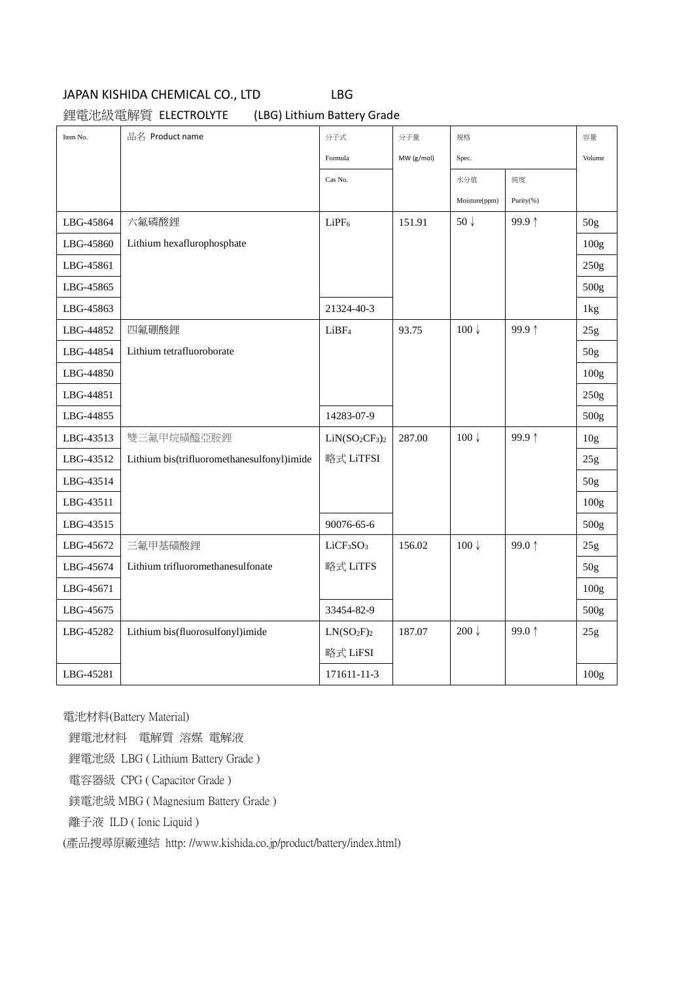#### JAPAN KISHIDA CHEMICAL CO., LTD LBG

鋰電池級電解質 ELECTROLYTE (LBG) Lithium Battery Grade

| Item No.  | 品名 Product name                            | 分子式                               | 分子量        | 規格               |           | 容量               |
|-----------|--------------------------------------------|-----------------------------------|------------|------------------|-----------|------------------|
|           |                                            | Formula                           | MW (g/mol) | Spec.            |           | Volume           |
|           |                                            | Cas No.                           |            | 水分值              | 純度        |                  |
|           |                                            |                                   |            | Moisture(ppm)    | Purity(%) |                  |
| LBG-45864 | 六氟磷酸鋰                                      | LiPF <sub>6</sub>                 | 151.91     | 50 $\downarrow$  | 99.9↑     | 50g              |
| LBG-45860 | Lithium hexaflurophosphate                 |                                   |            |                  |           | 100g             |
| LBG-45861 |                                            |                                   |            |                  |           | 250g             |
| LBG-45865 |                                            |                                   |            |                  |           | 500g             |
| LBG-45863 |                                            | 21324-40-3                        |            |                  |           | 1kg              |
| LBG-44852 | 四氟硼酸鋰                                      | LiBF <sub>4</sub>                 | 93.75      | $100 \downarrow$ | 99.9↑     | 25g              |
| LBG-44854 | Lithium tetrafluoroborate                  |                                   |            |                  |           | 50g              |
| LBG-44850 |                                            |                                   |            |                  |           | 100g             |
| LBG-44851 |                                            |                                   |            |                  |           | 250g             |
| LBG-44855 |                                            | 14283-07-9                        |            |                  |           | 500g             |
| LBG-43513 | 雙三氟甲烷磺醯亞胺鋰                                 | $LiN(SO2CF3)2$                    | 287.00     | $100 \downarrow$ | 99.9↑     | 10 <sub>g</sub>  |
| LBG-43512 | Lithium bis(trifluoromethanesulfonyl)imide | 略式 LiTFSI                         |            |                  |           | 25g              |
| LBG-43514 |                                            |                                   |            |                  |           | 50g              |
| LBG-43511 |                                            |                                   |            |                  |           | 100 <sub>g</sub> |
| LBG-43515 |                                            | 90076-65-6                        |            |                  |           | 500g             |
| LBG-45672 | 三氟甲基磺酸鋰                                    | LiCF <sub>3</sub> SO <sub>3</sub> | 156.02     | $100 \downarrow$ | 99.0 ↑    | 25g              |
| LBG-45674 | Lithium trifluoromethanesulfonate          | 略式 LiTFS                          |            |                  |           | 50 <sub>g</sub>  |
| LBG-45671 |                                            |                                   |            |                  |           | 100 <sub>g</sub> |
| LBG-45675 |                                            | 33454-82-9                        |            |                  |           | 500g             |
| LBG-45282 | Lithium bis(fluorosulfonyl)imide           | $LN(SO_2F)_2$                     | 187.07     | $200 \downarrow$ | 99.0↑     | 25g              |
|           |                                            | 略式 LiFSI                          |            |                  |           |                  |
| LBG-45281 |                                            | 171611-11-3                       |            |                  |           | 100g             |

電池材料(Battery Material)

鋰電池材料 電解質 溶媒 電解液

鋰電池級 LBG ( Lithium Battery Grade )

電容器級 CPG ( Capacitor Grade )

鎂電池級 MBG ( Magnesium Battery Grade )

離子液 ILD ( Ionic Liquid )

(產品搜尋原廠連結 http: //www.kishida.co.jp/product/battery/index.html)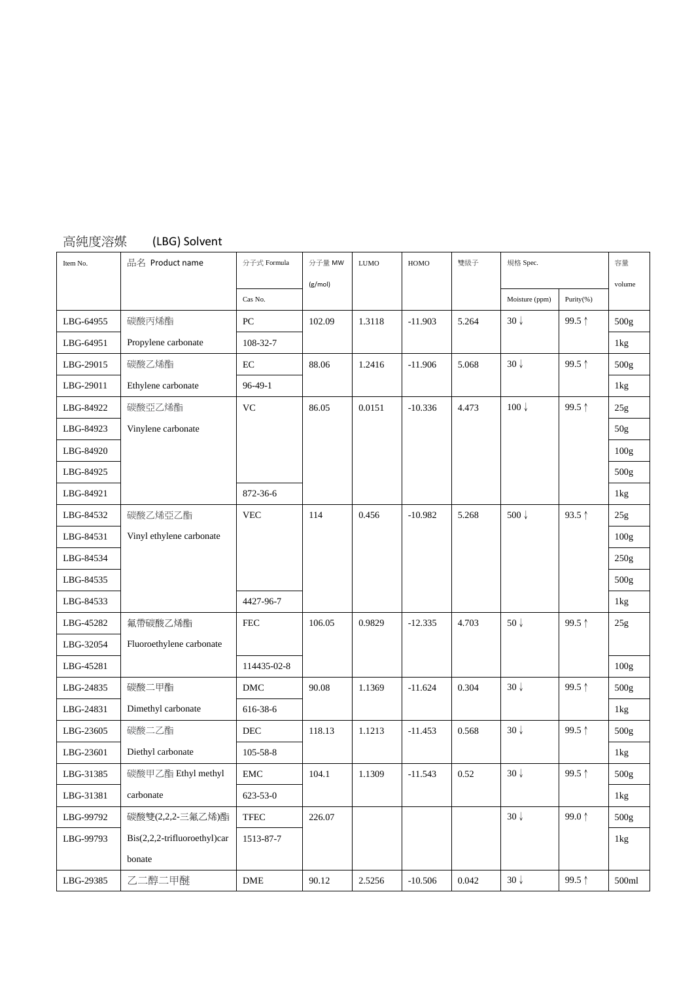| 高純度溶媒     | (LBG) Solvent                |                |         |             |           |       |                  |           |                  |
|-----------|------------------------------|----------------|---------|-------------|-----------|-------|------------------|-----------|------------------|
| Item No.  | 品名 Product name              | 分子式 Formula    | 分子量 MW  | <b>LUMO</b> | HOMO      | 雙級子   | 規格 Spec.         |           | 容量               |
|           |                              |                | (g/mol) |             |           |       |                  |           | volume           |
|           |                              | Cas No.        |         |             |           |       | Moisture (ppm)   | Purity(%) |                  |
| LBG-64955 | 碳酸丙烯酯                        | PC             | 102.09  | 1.3118      | $-11.903$ | 5.264 | $30\sqrt{ }$     | 99.5↑     | 500g             |
| LBG-64951 | Propylene carbonate          | 108-32-7       |         |             |           |       |                  |           | 1kg              |
| LBG-29015 | 碳酸乙烯酯                        | $\rm EC$       | 88.06   | 1.2416      | $-11.906$ | 5.068 | $30\sqrt{ }$     | 99.5↑     | 500g             |
| LBG-29011 | Ethylene carbonate           | $96 - 49 - 1$  |         |             |           |       |                  |           | 1kg              |
| LBG-84922 | 碳酸亞乙烯酯                       | <b>VC</b>      | 86.05   | 0.0151      | $-10.336$ | 4.473 | $100 \downarrow$ | 99.5↑     | 25g              |
| LBG-84923 | Vinylene carbonate           |                |         |             |           |       |                  |           | 50g              |
| LBG-84920 |                              |                |         |             |           |       |                  |           | 100g             |
| LBG-84925 |                              |                |         |             |           |       |                  |           | 500g             |
| LBG-84921 |                              | 872-36-6       |         |             |           |       |                  |           | 1kg              |
| LBG-84532 | 碳酸乙烯亞乙酯                      | <b>VEC</b>     | 114     | 0.456       | $-10.982$ | 5.268 | 500 $\downarrow$ | 93.5 ↑    | 25g              |
| LBG-84531 | Vinyl ethylene carbonate     |                |         |             |           |       |                  |           | 100g             |
| LBG-84534 |                              |                |         |             |           |       |                  |           | 250g             |
| LBG-84535 |                              |                |         |             |           |       |                  |           | 500g             |
| LBG-84533 |                              | 4427-96-7      |         |             |           |       |                  |           | 1kg              |
| LBG-45282 | 氟帶碳酸乙烯酯                      | <b>FEC</b>     | 106.05  | 0.9829      | $-12.335$ | 4.703 | $50\sqrt{ }$     | 99.5↑     | 25g              |
| LBG-32054 | Fluoroethylene carbonate     |                |         |             |           |       |                  |           |                  |
| LBG-45281 |                              | 114435-02-8    |         |             |           |       |                  |           | 100g             |
| LBG-24835 | 碳酸二甲酯                        | DMC            | 90.08   | 1.1369      | $-11.624$ | 0.304 | $30\sqrt{ }$     | 99.5↑     | 500g             |
| LBG-24831 | Dimethyl carbonate           | 616-38-6       |         |             |           |       |                  |           | 1kg              |
| LBG-23605 | 碳酸二乙酯                        | DEC            | 118.13  | 1.1213      | $-11.453$ | 0.568 | $30\sqrt{ }$     | 99.5 ↑    | 500g             |
| LBG-23601 | Diethyl carbonate            | $105 - 58 - 8$ |         |             |           |       |                  |           | 1kg              |
| LBG-31385 | 碳酸甲乙酯 Ethyl methyl           | EMC            | 104.1   | 1.1309      | $-11.543$ | 0.52  | $30\downarrow$   | 99.5↑     | 500 <sub>g</sub> |
| LBG-31381 | carbonate                    | 623-53-0       |         |             |           |       |                  |           | 1kg              |
| LBG-99792 | 碳酸雙(2,2,2-三氟乙烯)酯             | <b>TFEC</b>    | 226.07  |             |           |       | $30\downarrow$   | 99.0↑     | 500g             |
| LBG-99793 | Bis(2,2,2-trifluoroethyl)car | 1513-87-7      |         |             |           |       |                  |           | 1kg              |
|           | bonate                       |                |         |             |           |       |                  |           |                  |
| LBG-29385 | 乙二醇二甲醚                       | ${\rm DME}$    | 90.12   | 2.5256      | $-10.506$ | 0.042 | $30\downarrow$   | 99.5↑     | 500ml            |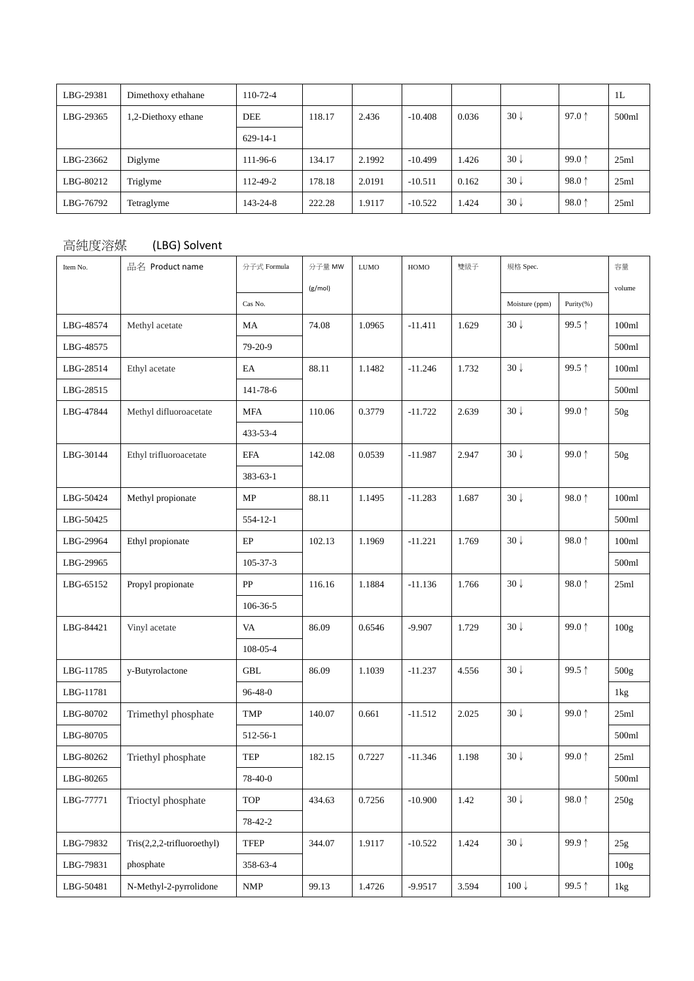| LBG-29381 | Dimethoxy ethahane  | $110-72-4$ |        |        |           |       |                |                 | 1L    |
|-----------|---------------------|------------|--------|--------|-----------|-------|----------------|-----------------|-------|
| LBG-29365 | 1,2-Diethoxy ethane | <b>DEE</b> | 118.17 | 2.436  | $-10.408$ | 0.036 | $30\sqrt{ }$   | 97.0 $\uparrow$ | 500ml |
|           |                     | $629-14-1$ |        |        |           |       |                |                 |       |
| LBG-23662 | Diglyme             | 111-96-6   | 134.17 | 2.1992 | $-10.499$ | 1.426 | $30\downarrow$ | 99.0 $1$        | 25ml  |
| LBG-80212 | Triglyme            | 112-49-2   | 178.18 | 2.0191 | $-10.511$ | 0.162 | $30\sqrt{ }$   | 98.0 $\uparrow$ | 25ml  |
| LBG-76792 | Tetraglyme          | 143-24-8   | 222.28 | .9117  | $-10.522$ | 1.424 | $30\sqrt{ }$   | 98.0 $\uparrow$ | 25ml  |

## 高純度溶媒 (LBG) Solvent

| Item No.  | 品名 Product name            | 分子式 Formula                 | 分子量 MW  | <b>LUMO</b> | HOMO      | 雙級子   | 規格 Spec.        |           | 容量              |
|-----------|----------------------------|-----------------------------|---------|-------------|-----------|-------|-----------------|-----------|-----------------|
|           |                            |                             | (g/mol) |             |           |       |                 |           | volume          |
|           |                            | Cas No.                     |         |             |           |       | Moisture (ppm)  | Purity(%) |                 |
| LBG-48574 | Methyl acetate             | MA                          | 74.08   | 1.0965      | $-11.411$ | 1.629 | $30\downarrow$  | 99.5↑     | 100ml           |
| LBG-48575 |                            | 79-20-9                     |         |             |           |       |                 |           | 500ml           |
| LBG-28514 | Ethyl acetate              | $\rm EA$                    | 88.11   | 1.1482      | $-11.246$ | 1.732 | $30\downarrow$  | 99.5↑     | 100ml           |
| LBG-28515 |                            | 141-78-6                    |         |             |           |       |                 |           | 500ml           |
| LBG-47844 | Methyl difluoroacetate     | <b>MFA</b>                  | 110.06  | 0.3779      | $-11.722$ | 2.639 | $30\sqrt{ }$    | 99.0↑     | 50 <sub>g</sub> |
|           |                            | 433-53-4                    |         |             |           |       |                 |           |                 |
| LBG-30144 | Ethyl trifluoroacetate     | <b>EFA</b>                  | 142.08  | 0.0539      | $-11.987$ | 2.947 | $30\downarrow$  | 99.0↑     | 50g             |
|           |                            | $383 - 63 - 1$              |         |             |           |       |                 |           |                 |
| LBG-50424 | Methyl propionate          | MP                          | 88.11   | 1.1495      | $-11.283$ | 1.687 | $30\downarrow$  | 98.0↑     | 100ml           |
| LBG-50425 |                            | 554-12-1                    |         |             |           |       |                 |           | 500ml           |
| LBG-29964 | Ethyl propionate           | EP                          | 102.13  | 1.1969      | $-11.221$ | 1.769 | $30\sqrt{ }$    | 98.0↑     | 100ml           |
| LBG-29965 |                            | 105-37-3                    |         |             |           |       |                 |           | 500ml           |
| LBG-65152 | Propyl propionate          | PP                          | 116.16  | 1.1884      | $-11.136$ | 1.766 | $30\sqrt{ }$    | 98.0↑     | 25ml            |
|           |                            | 106-36-5                    |         |             |           |       |                 |           |                 |
| LBG-84421 | Vinyl acetate              | VA                          | 86.09   | 0.6546      | $-9.907$  | 1.729 | $30\sqrt{ }$    | 99.0↑     | 100g            |
|           |                            | 108-05-4                    |         |             |           |       |                 |           |                 |
| LBG-11785 | y-Butyrolactone            | <b>GBL</b>                  | 86.09   | 1.1039      | $-11.237$ | 4.556 | $30\downarrow$  | 99.5↑     | 500g            |
| LBG-11781 |                            | $96 - 48 - 0$               |         |             |           |       |                 |           | 1kg             |
| LBG-80702 | Trimethyl phosphate        | <b>TMP</b>                  | 140.07  | 0.661       | $-11.512$ | 2.025 | $30\sqrt{ }$    | 99.0↑     | 25ml            |
| LBG-80705 |                            | 512-56-1                    |         |             |           |       |                 |           | 500ml           |
| LBG-80262 | Triethyl phosphate         | <b>TEP</b>                  | 182.15  | 0.7227      | $-11.346$ | 1.198 | $30\sqrt{ }$    | 99.0↑     | 25ml            |
| LBG-80265 |                            | 78-40-0                     |         |             |           |       |                 |           | 500ml           |
| LBG-77771 | Trioctyl phosphate         | <b>TOP</b>                  | 434.63  | 0.7256      | $-10.900$ | 1.42  | $30\downarrow$  | 98.0↑     | 250g            |
|           |                            | 78-42-2                     |         |             |           |       |                 |           |                 |
| LBG-79832 | Tris(2,2,2-trifluoroethyl) | TFEP                        | 344.07  | 1.9117      | $-10.522$ | 1.424 | $30\downarrow$  | 99.9 ↑    | 25g             |
| LBG-79831 | phosphate                  | 358-63-4                    |         |             |           |       |                 |           | 100g            |
| LBG-50481 | N-Methyl-2-pyrrolidone     | $\ensuremath{\mathsf{NMP}}$ | 99.13   | 1.4726      | $-9.9517$ | 3.594 | $100\downarrow$ | 99.5↑     | $1\mathrm{kg}$  |
|           |                            |                             |         |             |           |       |                 |           |                 |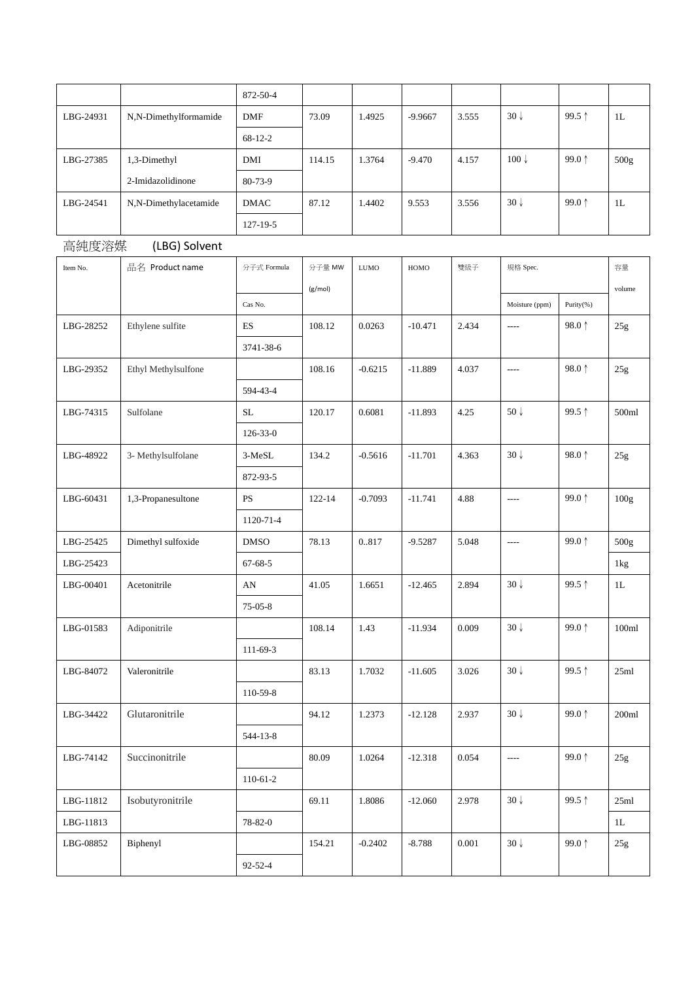|           |                       | 872-50-4       |         |             |           |       |                 |                 |               |
|-----------|-----------------------|----------------|---------|-------------|-----------|-------|-----------------|-----------------|---------------|
| LBG-24931 | N,N-Dimethylformamide | <b>DMF</b>     | 73.09   | 1.4925      | $-9.9667$ | 3.555 | $30\sqrt{ }$    | 99.5 ↑          | 1L            |
|           |                       | $68-12-2$      |         |             |           |       |                 |                 |               |
| LBG-27385 | 1,3-Dimethyl          | $\rm DMI$      | 114.15  | 1.3764      | $-9.470$  | 4.157 | $100\downarrow$ | 99.0↑           | 500g          |
|           | 2-Imidazolidinone     | 80-73-9        |         |             |           |       |                 |                 |               |
| LBG-24541 | N,N-Dimethylacetamide | <b>DMAC</b>    | 87.12   | 1.4402      | 9.553     | 3.556 | $30\downarrow$  | 99.0↑           | 1L            |
|           |                       | 127-19-5       |         |             |           |       |                 |                 |               |
| 高純度溶媒     | (LBG) Solvent         |                |         |             |           |       |                 |                 |               |
| Item No.  | 品名 Product name       | 分子式 Formula    | 分子量 MW  | <b>LUMO</b> | HOMO      | 雙級子   | 規格 Spec.        |                 | 容量            |
|           |                       |                | (g/mol) |             |           |       |                 |                 | volume        |
|           |                       | Cas No.        |         |             |           |       | Moisture (ppm)  | Purity(%)       |               |
| LBG-28252 | Ethylene sulfite      | ES             | 108.12  | 0.0263      | $-10.471$ | 2.434 | $---$           | 98.0 $\uparrow$ | 25g           |
|           |                       | 3741-38-6      |         |             |           |       |                 |                 |               |
| LBG-29352 | Ethyl Methylsulfone   |                | 108.16  | $-0.6215$   | $-11.889$ | 4.037 | $---$           | 98.0↑           | 25g           |
|           |                       | 594-43-4       |         |             |           |       |                 |                 |               |
| LBG-74315 | Sulfolane             | SL             | 120.17  | 0.6081      | $-11.893$ | 4.25  | 50 $\downarrow$ | 99.5 ↑          | 500ml         |
|           |                       | $126 - 33 - 0$ |         |             |           |       |                 |                 |               |
| LBG-48922 | 3- Methylsulfolane    | 3-MeSL         | 134.2   | $-0.5616$   | $-11.701$ | 4.363 | $30\downarrow$  | 98.0↑           | 25g           |
|           |                       | 872-93-5       |         |             |           |       |                 |                 |               |
| LBG-60431 | 1,3-Propanesultone    | <b>PS</b>      | 122-14  | $-0.7093$   | $-11.741$ | 4.88  | $\cdots$        | 99.0↑           | 100g          |
|           |                       | 1120-71-4      |         |             |           |       |                 |                 |               |
| LBG-25425 | Dimethyl sulfoxide    | <b>DMSO</b>    | 78.13   | 0.817       | $-9.5287$ | 5.048 | ----            | 99.0 $\uparrow$ | 500g          |
| LBG-25423 |                       | $67 - 68 - 5$  |         |             |           |       |                 |                 | 1kg           |
| LBG-00401 | Acetonitrile          | AN             | 41.05   | 1.6651      | $-12.465$ | 2.894 | $30\downarrow$  | 99.5 ↑          | 1L            |
|           |                       | 75-05-8        |         |             |           |       |                 |                 |               |
| LBG-01583 | Adiponitrile          |                | 108.14  | 1.43        | $-11.934$ | 0.009 | $30\sqrt{ }$    | 99.0↑           | 100ml         |
|           |                       | $111-69-3$     |         |             |           |       |                 |                 |               |
| LBG-84072 | Valeronitrile         |                | 83.13   | 1.7032      | $-11.605$ | 3.026 | $30\sqrt{ }$    | 99.5 ↑          | 25ml          |
|           |                       | 110-59-8       |         |             |           |       |                 |                 |               |
| LBG-34422 | Glutaronitrile        |                | 94.12   | 1.2373      | $-12.128$ | 2.937 | $30\sqrt{ }$    | 99.0↑           | 200ml         |
|           |                       | 544-13-8       |         |             |           |       |                 |                 |               |
| LBG-74142 | Succinonitrile        |                | 80.09   | 1.0264      | $-12.318$ | 0.054 | $\overline{a}$  | 99.0 $\uparrow$ | 25g           |
|           |                       | $110 - 61 - 2$ |         |             |           |       |                 |                 |               |
| LBG-11812 | Isobutyronitrile      |                | 69.11   | 1.8086      | $-12.060$ | 2.978 | $30\downarrow$  | 99.5↑           | 25ml          |
| LBG-11813 |                       | 78-82-0        |         |             |           |       |                 |                 | $1\mathbf{L}$ |
| LBG-08852 | Biphenyl              |                | 154.21  | $-0.2402$   | $-8.788$  | 0.001 | $30\downarrow$  | 99.0↑           | 25g           |
|           |                       | $92 - 52 - 4$  |         |             |           |       |                 |                 |               |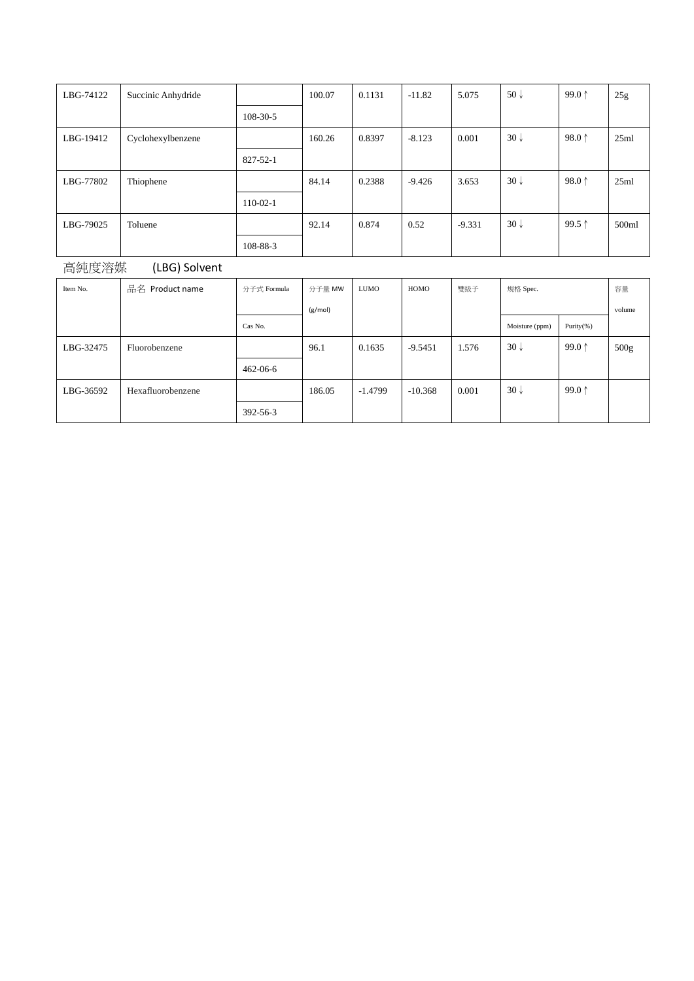| LBG-74122 | Succinic Anhydride |                | 100.07 | 0.1131 | $-11.82$ | 5.075    | 50 $\downarrow$ | 99.0 $1$        | 25g   |
|-----------|--------------------|----------------|--------|--------|----------|----------|-----------------|-----------------|-------|
|           |                    | $108 - 30 - 5$ |        |        |          |          |                 |                 |       |
| LBG-19412 | Cyclohexylbenzene  |                | 160.26 | 0.8397 | $-8.123$ | 0.001    | $30\downarrow$  | 98.0 $\uparrow$ | 25ml  |
|           |                    | 827-52-1       |        |        |          |          |                 |                 |       |
| LBG-77802 | Thiophene          |                | 84.14  | 0.2388 | $-9.426$ | 3.653    | $30\sqrt{ }$    | 98.0 $\uparrow$ | 25ml  |
|           |                    | $110-02-1$     |        |        |          |          |                 |                 |       |
| LBG-79025 | Toluene            |                | 92.14  | 0.874  | 0.52     | $-9.331$ | $30\sqrt{ }$    | 99.5 $1$        | 500ml |
|           |                    | 108-88-3       |        |        |          |          |                 |                 |       |

| 高純度溶媒 | (LBG) Solvent |
|-------|---------------|
|-------|---------------|

| Item No.  | 品名 Product name   | 分子式 Formula | 分子量 MW  | <b>LUMO</b> | HOMO      | 雙級子   | 規格 Spec.       |                 | 容量               |
|-----------|-------------------|-------------|---------|-------------|-----------|-------|----------------|-----------------|------------------|
|           |                   |             | (g/mol) |             |           |       |                |                 | volume           |
|           |                   | Cas No.     |         |             |           |       | Moisture (ppm) | Purity $(\%)$   |                  |
| LBG-32475 | Fluorobenzene     |             | 96.1    | 0.1635      | $-9.5451$ | 1.576 | $30\sqrt{ }$   | 99.0 $\uparrow$ | 500 <sub>g</sub> |
|           |                   | 462-06-6    |         |             |           |       |                |                 |                  |
| LBG-36592 | Hexafluorobenzene |             | 186.05  | $-1.4799$   | $-10.368$ | 0.001 | $30\sqrt{ }$   | 99.0 $\uparrow$ |                  |
|           |                   | 392-56-3    |         |             |           |       |                |                 |                  |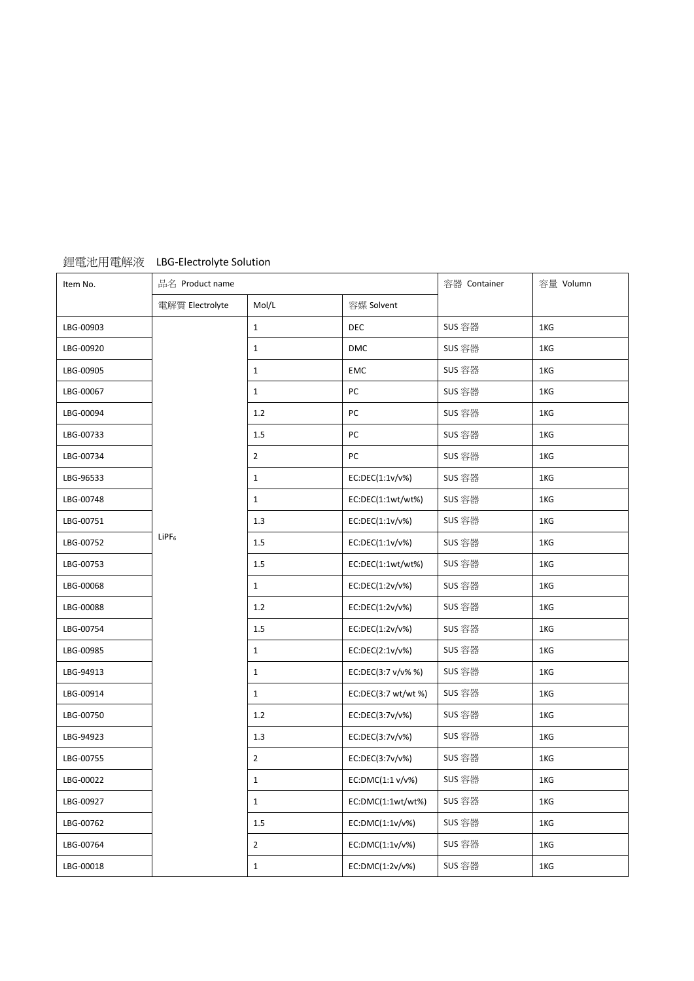| Item No.  | 品名 Product name |                |                    | 容器 Container | 容量 Volumn |  |
|-----------|-----------------|----------------|--------------------|--------------|-----------|--|
|           | 電解質 Electrolyte | Mol/L          | 容媒 Solvent         |              |           |  |
| LBG-00903 |                 | $\mathbf{1}$   | <b>DEC</b>         | SUS 容器       | 1KG       |  |
| LBG-00920 |                 | $\mathbf{1}$   | DMC                | SUS 容器       | 1KG       |  |
| LBG-00905 |                 | $\mathbf{1}$   | EMC                | SUS 容器       | 1KG       |  |
| LBG-00067 |                 | $\mathbf{1}$   | PC                 | SUS 容器       | 1KG       |  |
| LBG-00094 |                 | 1.2            | PC                 | SUS 容器       | 1KG       |  |
| LBG-00733 |                 | 1.5            | PC                 | SUS 容器       | 1KG       |  |
| LBG-00734 |                 | $\overline{2}$ | PC                 | SUS 容器       | 1KG       |  |
| LBG-96533 |                 | $\mathbf{1}$   | EC:DEC(1:1v/v%)    | SUS 容器       | 1KG       |  |
| LBG-00748 |                 | $\mathbf{1}$   | EC:DEC(1:1wt/wt%)  | SUS 容器       | 1KG       |  |
| LBG-00751 |                 | 1.3            | EC:DEC(1:1v/v%)    | SUS 容器       | 1KG       |  |
| LBG-00752 | $LIPF_6$        | 1.5            | EC:DEC(1:1v/v%)    | SUS 容器       | 1KG       |  |
| LBG-00753 |                 | 1.5            | EC:DEC(1:1wt/wt%)  | SUS 容器       | 1KG       |  |
| LBG-00068 |                 | $\mathbf{1}$   | EC:DEC(1:2v/v%)    | SUS 容器       | 1KG       |  |
| LBG-00088 |                 | 1.2            | EC:DEC(1:2v/v%)    | SUS 容器       | 1KG       |  |
| LBG-00754 |                 | 1.5            | EC:DEC(1:2v/v%)    | SUS 容器       | 1KG       |  |
| LBG-00985 |                 | $\mathbf{1}$   | EC:DEC(2:1v/v%)    | SUS 容器       | 1KG       |  |
| LBG-94913 |                 | $\mathbf{1}$   | EC:DEC(3:7 v/v% %) | SUS 容器       | 1KG       |  |
| LBG-00914 |                 | $\mathbf{1}$   | EC:DEC(3:7 wt/wt%) | SUS 容器       | 1KG       |  |
| LBG-00750 |                 | 1.2            | EC:DEC(3:7v/v%)    | SUS 容器       | 1KG       |  |
| LBG-94923 |                 | 1.3            | EC:DEC(3:7v/v%)    | SUS 容器       | 1KG       |  |
| LBG-00755 |                 | $\overline{2}$ | EC:DEC(3:7v/v%)    | SUS 容器       | 1KG       |  |
| LBG-00022 |                 | $\mathbf{1}$   | EC:DMC(1:1 v/v%)   | SUS 容器       | 1KG       |  |
| LBG-00927 |                 | $\mathbf{1}$   | EC:DMC(1:1wt/wt%)  | SUS 容器       | 1KG       |  |
| LBG-00762 |                 | 1.5            | EC:DMC(1:1v/v%)    | SUS 容器       | 1KG       |  |
| LBG-00764 |                 | $\overline{2}$ | EC:DMC(1:1v/v%)    | SUS 容器       | 1KG       |  |
| LBG-00018 |                 | $\mathbf{1}$   | EC:DMC(1:2v/v%)    | SUS 容器       | 1KG       |  |

## 鋰電池用電解液 LBG-Electrolyte Solution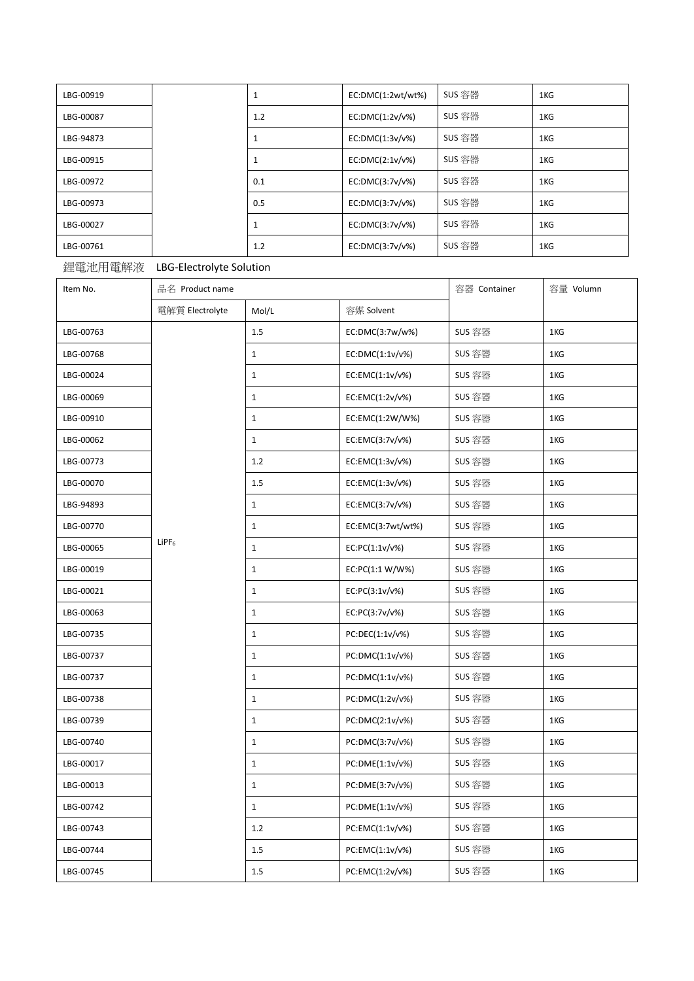| LBG-00919 |     | EC:DMC(1:2wt/wt%) | SUS 容器 | 1KG |
|-----------|-----|-------------------|--------|-----|
| LBG-00087 | 1.2 | EC:DMC(1:2v/v%)   | SUS 容器 | 1KG |
| LBG-94873 |     | EC:DMC(1:3v/v%)   | SUS 容器 | 1KG |
| LBG-00915 |     | EC:DMC(2:1v/v%)   | SUS 容器 | 1KG |
| LBG-00972 | 0.1 | EC:DMC(3:7v/v%)   | SUS 容器 | 1KG |
| LBG-00973 | 0.5 | EC:DMC(3:7v/v%)   | SUS 容器 | 1KG |
| LBG-00027 |     | EC:DMC(3:7v/v%)   | SUS 容器 | 1KG |
| LBG-00761 | 1.2 | EC:DMC(3:7v/v%)   | SUS 容器 | 1KG |

## 鋰電池用電解液 LBG-Electrolyte Solution

| Item No.  | 品名 Product name |              |                   | 容器 Container | 容量 Volumn |
|-----------|-----------------|--------------|-------------------|--------------|-----------|
|           | 電解質 Electrolyte | Mol/L        | 容媒 Solvent        |              |           |
| LBG-00763 |                 | 1.5          | EC:DMC(3:7w/w%)   | SUS 容器       | 1KG       |
| LBG-00768 |                 | $\mathbf{1}$ | EC:DMC(1:1v/v%)   | SUS 容器       | 1KG       |
| LBG-00024 |                 | $\mathbf{1}$ | EC:EMC(1:1v/v%)   | SUS 容器       | 1KG       |
| LBG-00069 |                 | $\mathbf{1}$ | EC:EMC(1:2v/v%)   | SUS 容器       | 1KG       |
| LBG-00910 |                 | $\mathbf{1}$ | EC:EMC(1:2W/W%)   | SUS 容器       | 1KG       |
| LBG-00062 |                 | $\mathbf{1}$ | EC:EMC(3:7v/v%)   | SUS 容器       | 1KG       |
| LBG-00773 |                 | 1.2          | EC:EMC(1:3v/v%)   | SUS 容器       | 1KG       |
| LBG-00070 |                 | 1.5          | EC:EMC(1:3v/v%)   | SUS 容器       | 1KG       |
| LBG-94893 |                 | $\mathbf{1}$ | EC:EMC(3:7v/v%)   | SUS 容器       | 1KG       |
| LBG-00770 |                 | $\mathbf{1}$ | EC:EMC(3:7wt/wt%) | SUS 容器       | 1KG       |
| LBG-00065 | $L$ iPF $_6$    | $\mathbf{1}$ | EC:PC(1:1v/v%)    | SUS 容器       | 1KG       |
| LBG-00019 |                 | $\mathbf{1}$ | EC:PC(1:1 W/W%)   | SUS 容器       | 1KG       |
| LBG-00021 |                 | $\mathbf{1}$ | EC:PC(3:1v/v%)    | SUS 容器       | 1KG       |
| LBG-00063 |                 | $\mathbf{1}$ | EC:PC(3:7v/v%)    | SUS 容器       | 1KG       |
| LBG-00735 |                 | $\mathbf{1}$ | PC:DEC(1:1v/v%)   | SUS 容器       | 1KG       |
| LBG-00737 |                 | $\mathbf{1}$ | PC:DMC(1:1v/v%)   | SUS 容器       | 1KG       |
| LBG-00737 |                 | $\mathbf{1}$ | PC:DMC(1:1v/v%)   | SUS 容器       | 1KG       |
| LBG-00738 |                 | $\mathbf{1}$ | PC:DMC(1:2v/v%)   | SUS 容器       | 1KG       |
| LBG-00739 |                 | $\mathbf{1}$ | PC:DMC(2:1v/v%)   | SUS 容器       | 1KG       |
| LBG-00740 |                 | $\mathbf{1}$ | PC:DMC(3:7v/v%)   | SUS 容器       | 1KG       |
| LBG-00017 |                 | $\mathbf{1}$ | PC:DME(1:1v/v%)   | SUS 容器       | 1KG       |
| LBG-00013 |                 | $\mathbf{1}$ | PC:DME(3:7v/v%)   | SUS 容器       | 1KG       |
| LBG-00742 |                 | $\mathbf{1}$ | PC:DME(1:1v/v%)   | SUS 容器       | 1KG       |
| LBG-00743 |                 | 1.2          | PC:EMC(1:1v/v%)   | SUS 容器       | 1KG       |
| LBG-00744 |                 | 1.5          | PC:EMC(1:1v/v%)   | SUS 容器       | 1KG       |
| LBG-00745 |                 | 1.5          | PC:EMC(1:2v/v%)   | SUS 容器       | 1KG       |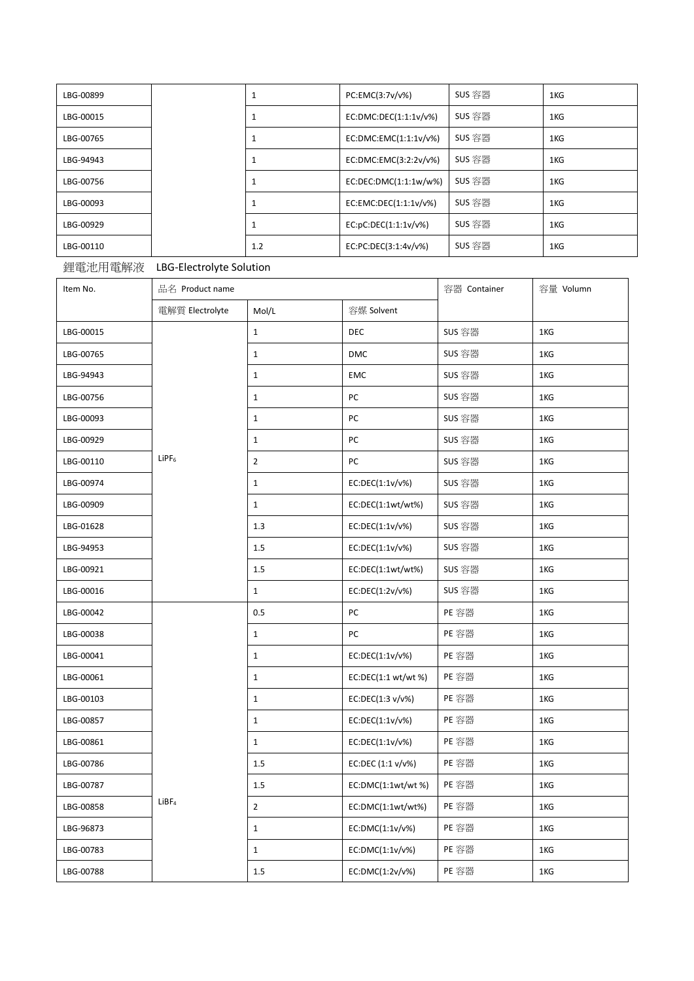| LBG-00899 | 1   | PC:EMC(3:7v/v%)       | SUS 容器 | 1KG |
|-----------|-----|-----------------------|--------|-----|
| LBG-00015 |     | EC:DMC:DEC(1:1:1v/v%) | SUS 容器 | 1KG |
| LBG-00765 |     | EC:DMC:EMC(1:1:1v/v%) | SUS 容器 | 1KG |
| LBG-94943 |     | EC:DMC:EMC(3:2:2v/v%) | SUS 容器 | 1KG |
| LBG-00756 |     | EC:DEC:DMC(1:1:1w/w%) | SUS 容器 | 1KG |
| LBG-00093 |     | EC:EMC:DEC(1:1:1v/v%) | SUS 容器 | 1KG |
| LBG-00929 |     | EC:DC:DEC(1:1:1v/v%)  | SUS 容器 | 1KG |
| LBG-00110 | 1.2 | EC:PC:DEC(3:1:4v/v%)  | SUS 容器 | 1KG |

## 鋰電池用電解液 LBG-Electrolyte Solution

| Item No.  | 品名 Product name      |                | 容器 Container       | 容量 Volumn |     |
|-----------|----------------------|----------------|--------------------|-----------|-----|
|           | 電解質 Electrolyte      | Mol/L          | 容媒 Solvent         |           |     |
| LBG-00015 |                      | $\mathbf{1}$   | <b>DEC</b>         | SUS 容器    | 1KG |
| LBG-00765 |                      | $\mathbf 1$    | <b>DMC</b>         | SUS 容器    | 1KG |
| LBG-94943 |                      | $\mathbf{1}$   | <b>EMC</b>         | SUS 容器    | 1KG |
| LBG-00756 |                      | $\mathbf{1}$   | PC                 | SUS 容器    | 1KG |
| LBG-00093 |                      | $\mathbf{1}$   | PC                 | SUS 容器    | 1KG |
| LBG-00929 |                      | $\mathbf{1}$   | PC                 | SUS 容器    | 1KG |
| LBG-00110 | $L$ iPF <sub>6</sub> | $\mathbf{2}$   | PC                 | SUS 容器    | 1KG |
| LBG-00974 |                      | $\mathbf{1}$   | EC:DEC(1:1v/v%)    | SUS 容器    | 1KG |
| LBG-00909 |                      | $\mathbf{1}$   | EC:DEC(1:1wt/wt%)  | SUS 容器    | 1KG |
| LBG-01628 |                      | 1.3            | EC:DEC(1:1v/v%)    | SUS 容器    | 1KG |
| LBG-94953 |                      | 1.5            | EC:DEC(1:1v/v%)    | SUS 容器    | 1KG |
| LBG-00921 |                      | 1.5            | EC:DEC(1:1wt/wt%)  | SUS 容器    | 1KG |
| LBG-00016 |                      | $\mathbf{1}$   | EC:DEC(1:2v/v%)    | SUS 容器    | 1KG |
| LBG-00042 |                      | 0.5            | PC                 | PE 容器     | 1KG |
| LBG-00038 |                      | $\mathbf{1}$   | PC                 | PE 容器     | 1KG |
| LBG-00041 |                      | $\mathbf{1}$   | EC:DEC(1:1v/v%)    | PE 容器     | 1KG |
| LBG-00061 |                      | $\mathbf{1}$   | EC:DEC(1:1 wt/wt%) | PE 容器     | 1KG |
| LBG-00103 |                      | $\mathbf{1}$   | EC:DEC(1:3 v/v%)   | PE 容器     | 1KG |
| LBG-00857 |                      | $\mathbf{1}$   | EC:DEC(1:1v/v%)    | PE 容器     | 1KG |
| LBG-00861 |                      | $\mathbf{1}$   | EC:DEC(1:1v/v%)    | PE 容器     | 1KG |
| LBG-00786 |                      | 1.5            | EC:DEC (1:1 v/v%)  | PE 容器     | 1KG |
| LBG-00787 |                      | 1.5            | EC:DMC(1:1wt/wt %) | PE 容器     | 1KG |
| LBG-00858 | LiBF <sub>4</sub>    | $\overline{2}$ | EC:DMC(1:1wt/wt%)  | PE 容器     | 1KG |
| LBG-96873 |                      | $\mathbf{1}$   | EC:DMC(1:1v/v%)    | PE 容器     | 1KG |
| LBG-00783 |                      | $\mathbf{1}$   | EC:DMC(1:1v/v%)    | PE 容器     | 1KG |
| LBG-00788 |                      | 1.5            | EC:DMC(1:2v/v%)    | PE 容器     | 1KG |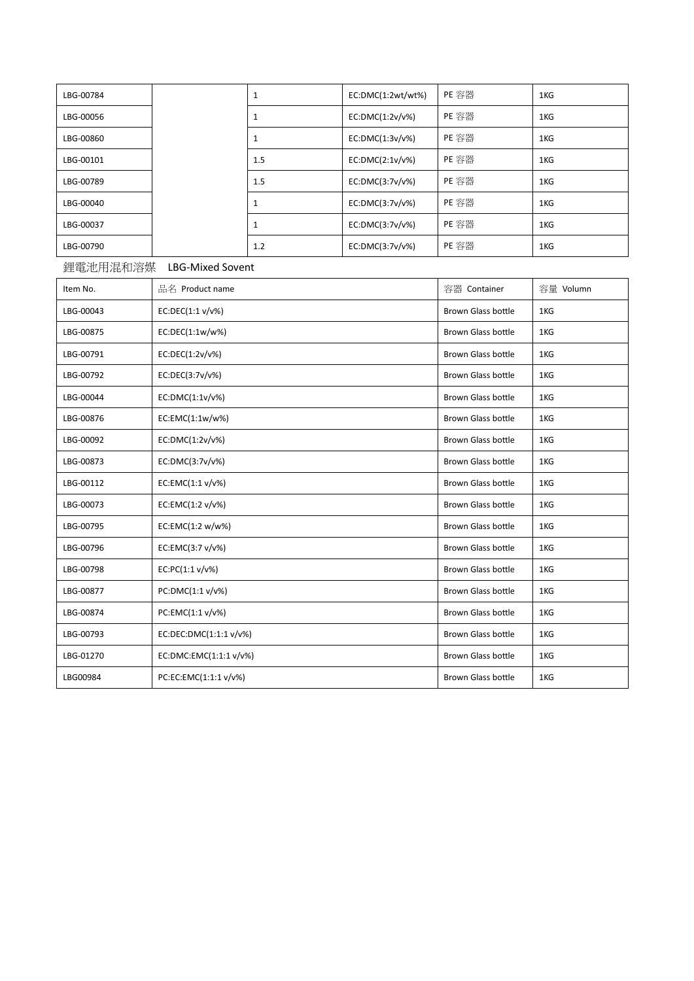| LBG-00784 |     | EC:DMC(1:2wt/wt%) | PE 容器 | 1KG |
|-----------|-----|-------------------|-------|-----|
| LBG-00056 |     | EC:DMC(1:2v/v%)   | PE 容器 | 1KG |
| LBG-00860 |     | EC:DMC(1:3v/v%)   | PE 容器 | 1KG |
| LBG-00101 | 1.5 | EC:DMC(2:1v/v%)   | PE 容器 | 1KG |
| LBG-00789 | 1.5 | EC:DMC(3:7v/v%)   | PE 容器 | 1KG |
| LBG-00040 |     | EC:DMC(3:7v/v%)   | PE 容器 | 1KG |
| LBG-00037 |     | EC:DMC(3:7v/v%)   | PE 容器 | 1KG |
| LBG-00790 | 1.2 | EC:DMC(3:7v/v%)   | PE 容器 | 1KG |

## 鋰電池用混和溶媒 LBG-Mixed Sovent

| Item No.  | 品名 Product name        | 容器 Container              | 容量 Volumn |
|-----------|------------------------|---------------------------|-----------|
| LBG-00043 | EC:DEC(1:1 v/v%)       | <b>Brown Glass bottle</b> | 1KG       |
| LBG-00875 | EC:DEC(1:1w/w%)        | Brown Glass bottle        | 1KG       |
| LBG-00791 | EC:DEC(1:2v/v%)        | <b>Brown Glass bottle</b> | 1KG       |
| LBG-00792 | EC:DEC(3:7v/v%)        | <b>Brown Glass bottle</b> | 1KG       |
| LBG-00044 | EC:DMC(1:1v/v%)        | <b>Brown Glass bottle</b> | 1KG       |
| LBG-00876 | EC:EMC(1:1w/w%)        | <b>Brown Glass bottle</b> | 1KG       |
| LBG-00092 | EC:DMC(1:2v/v%)        | <b>Brown Glass bottle</b> | 1KG       |
| LBG-00873 | EC:DMC(3:7v/v%)        | <b>Brown Glass bottle</b> | 1KG       |
| LBG-00112 | EC:EMC(1:1 v/v%)       | <b>Brown Glass bottle</b> | 1KG       |
| LBG-00073 | EC:EMC(1:2 v/v%)       | <b>Brown Glass bottle</b> | 1KG       |
| LBG-00795 | EC:EMC(1:2 w/w%)       | <b>Brown Glass bottle</b> | 1KG       |
| LBG-00796 | EC:EMC(3:7 v/v%)       | <b>Brown Glass bottle</b> | 1KG       |
| LBG-00798 | EC:PC(1:1 v/v%)        | <b>Brown Glass bottle</b> | 1KG       |
| LBG-00877 | PC:DMC(1:1 v/v%)       | <b>Brown Glass bottle</b> | 1KG       |
| LBG-00874 | PC:EMC(1:1 v/v%)       | <b>Brown Glass bottle</b> | 1KG       |
| LBG-00793 | EC:DEC:DMC(1:1:1 v/v%) | <b>Brown Glass bottle</b> | 1KG       |
| LBG-01270 | EC:DMC:EMC(1:1:1 v/v%) | <b>Brown Glass bottle</b> | 1KG       |
| LBG00984  | PC:EC:EMC(1:1:1 v/v%)  | Brown Glass bottle        | 1KG       |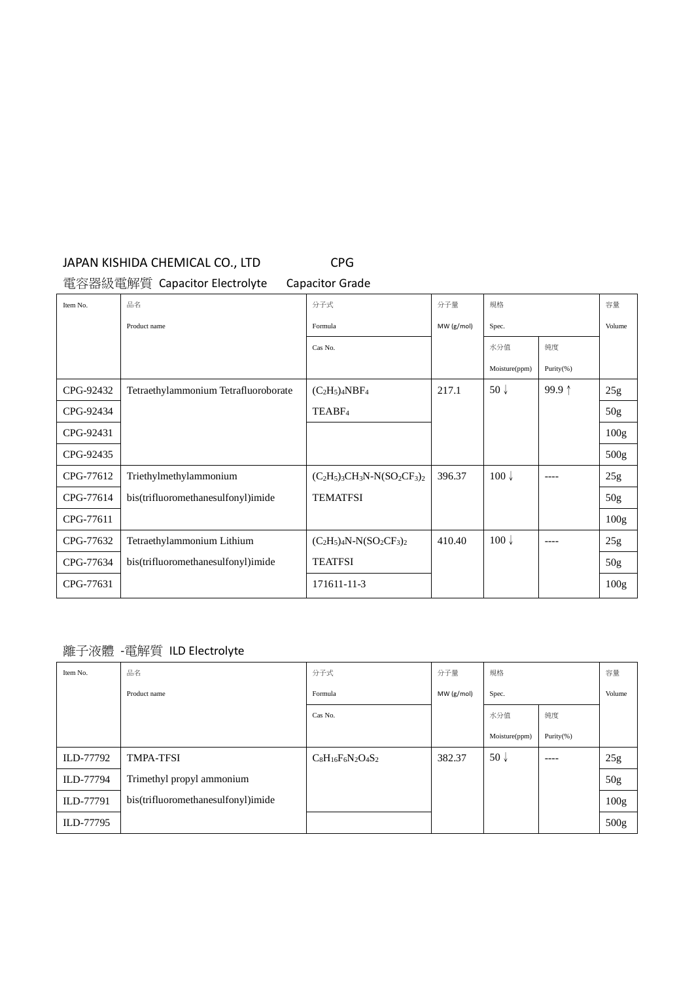# JAPAN KISHIDA CHEMICAL CO., LTD CPG

電容器級電解質 Capacitor Electrolyte Capacitor Grade

| Item No.  | 品名                                   | 分子式                             | 分子量       | 規格               |                 | 容量               |
|-----------|--------------------------------------|---------------------------------|-----------|------------------|-----------------|------------------|
|           | Product name                         | Formula                         | MW(g/mol) | Spec.            |                 | Volume           |
|           |                                      | Cas No.                         |           | 水分值              | 純度              |                  |
|           |                                      |                                 |           | Moisture(ppm)    | Purity $(% )$   |                  |
| CPG-92432 | Tetraethylammonium Tetrafluoroborate | $(C_2H_5)_4NBF_4$               | 217.1     | $50\sqrt{ }$     | 99.9 $\uparrow$ | 25g              |
| CPG-92434 |                                      | TEABF <sub>4</sub>              |           |                  |                 | 50 <sub>g</sub>  |
| CPG-92431 |                                      |                                 |           |                  |                 | 100 <sub>g</sub> |
| CPG-92435 |                                      |                                 |           |                  |                 | 500g             |
| CPG-77612 | Triethylmethylammonium               | $(C_2H_5)_3CH_3N-N(SO_2CF_3)_2$ | 396.37    | $100 \downarrow$ | $- - - -$       | 25g              |
| CPG-77614 | bis(trifluoromethanesulfonyl)imide   | <b>TEMATFSI</b>                 |           |                  |                 | 50 <sub>g</sub>  |
| CPG-77611 |                                      |                                 |           |                  |                 | 100 <sub>g</sub> |
| CPG-77632 | Tetraethylammonium Lithium           | $(C_2H_5)_4N-N(SO_2CF_3)_2$     | 410.40    | $100 \downarrow$ | $--- -$         | 25g              |
| CPG-77634 | bis(trifluoromethanesulfonyl)imide   | <b>TEATFSI</b>                  |           |                  |                 | 50 <sub>g</sub>  |
| CPG-77631 |                                      | 171611-11-3                     |           |                  |                 | 100 <sub>g</sub> |

離子液體 -電解質 ILD Electrolyte

| Item No.  | 品名                                 | 分子式                     | 分子量       | 規格              |           | 容量               |
|-----------|------------------------------------|-------------------------|-----------|-----------------|-----------|------------------|
|           | Product name                       | Formula                 | MW(g/mol) | Spec.           |           | Volume           |
|           |                                    | Cas No.                 |           | 水分值             | 純度        |                  |
|           |                                    |                         |           | Moisture(ppm)   | Purity(%) |                  |
| ILD-77792 | <b>TMPA-TFSI</b>                   | $C_8H_{16}F_6N_2O_4S_2$ | 382.37    | 50 $\downarrow$ | $- - - -$ | 25g              |
| ILD-77794 | Trimethyl propyl ammonium          |                         |           |                 |           | 50g              |
| ILD-77791 | bis(trifluoromethanesulfonyl)imide |                         |           |                 |           | 100 <sub>g</sub> |
| ILD-77795 |                                    |                         |           |                 |           | 500g             |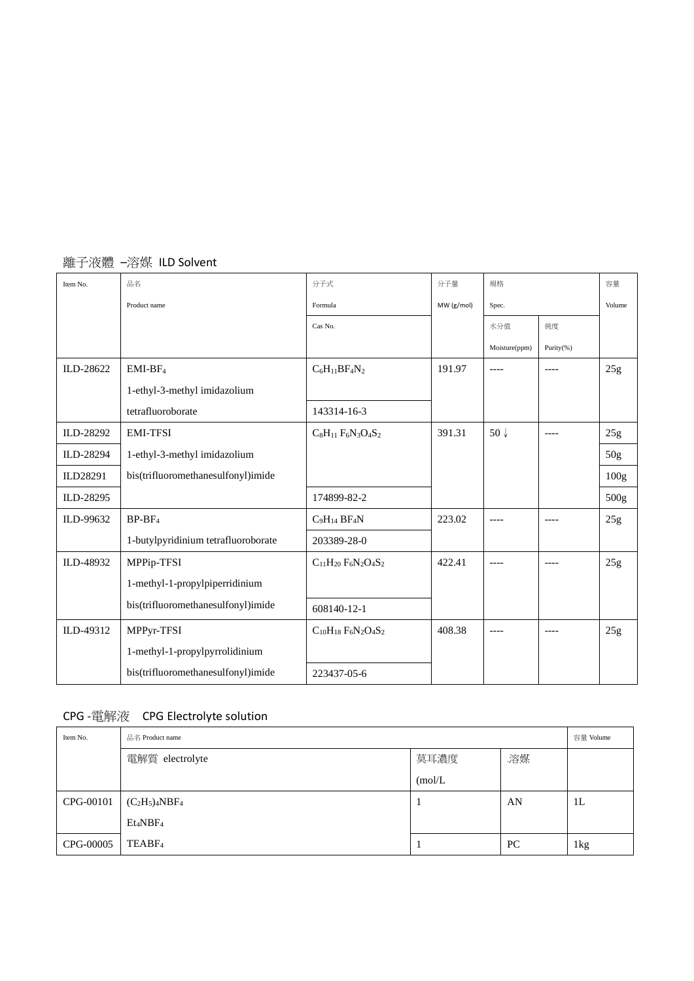| Item No.  | 品名                                  | 分子式                           | 分子量        | 規格              |           | 容量              |
|-----------|-------------------------------------|-------------------------------|------------|-----------------|-----------|-----------------|
|           | Product name                        | Formula                       | MW (g/mol) | Spec.           |           | Volume          |
|           |                                     | Cas No.                       |            | 水分值             | 純度        |                 |
|           |                                     |                               |            | Moisture(ppm)   | Purity(%) |                 |
| ILD-28622 | $EMI-BF4$                           | $C_6H_{11}BF_4N_2$            | 191.97     | $--- -$         | ----      | 25g             |
|           | 1-ethyl-3-methyl imidazolium        |                               |            |                 |           |                 |
|           | tetrafluoroborate                   | 143314-16-3                   |            |                 |           |                 |
| ILD-28292 | <b>EMI-TFSI</b>                     | $C_8H_{11}F_6N_3O_4S_2$       | 391.31     | 50 $\downarrow$ | ----      | 25g             |
| ILD-28294 | 1-ethyl-3-methyl imidazolium        |                               |            |                 |           | 50 <sub>g</sub> |
| ILD28291  | bis(trifluoromethanesulfonyl)imide  |                               |            |                 |           | 100g            |
| ILD-28295 |                                     | 174899-82-2                   |            |                 |           | 500g            |
| ILD-99632 | $BP-BF4$                            | $C_9H_{14}$ BF <sub>4</sub> N | 223.02     | ----            | ----      | 25g             |
|           | 1-butylpyridinium tetrafluoroborate | 203389-28-0                   |            |                 |           |                 |
| ILD-48932 | MPPip-TFSI                          | $C_{11}H_{20}F_6N_2O_4S_2$    | 422.41     | ----            |           | 25g             |
|           | 1-methyl-1-propylpiperridinium      |                               |            |                 |           |                 |
|           | bis(trifluoromethanesulfonyl)imide  | 608140-12-1                   |            |                 |           |                 |
| ILD-49312 | MPPyr-TFSI                          | $C_{10}H_{18}F_6N_2O_4S_2$    | 408.38     | ----            | $--- -$   | 25g             |
|           | 1-methyl-1-propylpyrrolidinium      |                               |            |                 |           |                 |
|           | bis(trifluoromethanesulfonyl)imide  | 223437-05-6                   |            |                 |           |                 |

## 離子液體 –溶媒 ILD Solvent

# CPG -電解液 CPG Electrolyte solution

| Item No.  | 品名 Product name                  |         |    |                |
|-----------|----------------------------------|---------|----|----------------|
|           | 電解質 electrolyte                  | 莫耳濃度    | 溶媒 |                |
|           |                                  | (mol/L) |    |                |
| CPG-00101 | $(C_2H_5)_4NBF_4$                |         | AN | 1 <sub>L</sub> |
|           | Et <sub>4</sub> NBF <sub>4</sub> |         |    |                |
| CPG-00005 | TEABF <sub>4</sub>               |         | PC | 1kg            |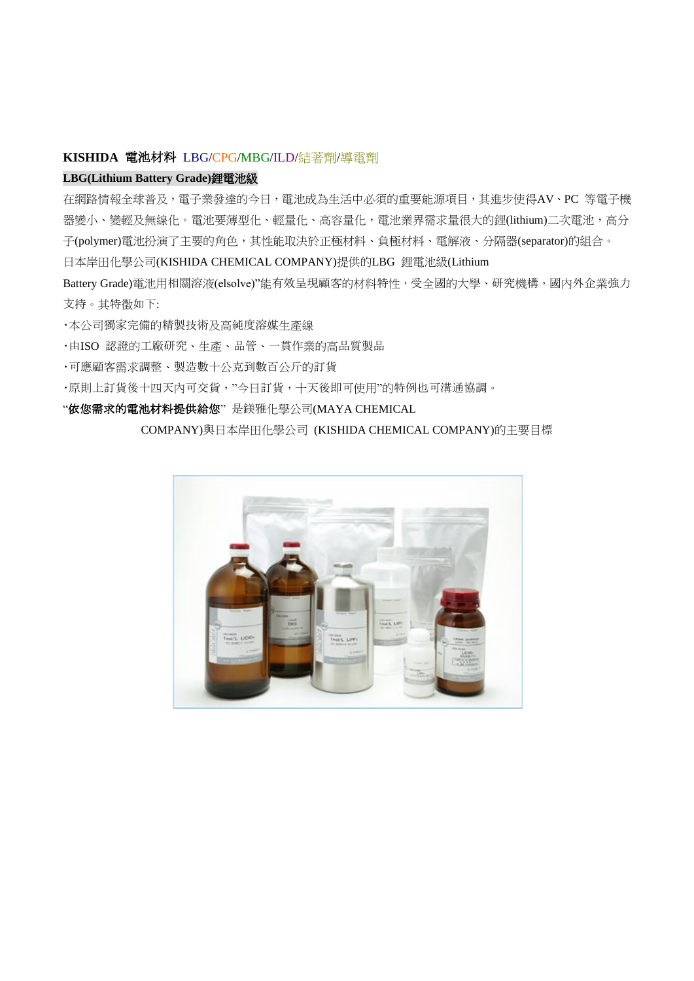## **KISHIDA** 電池材料 LBG/CPG/MBG/ILD/結著劑/導電劑

#### **LBG(Lithium Battery Grade)**鋰電池級

在網路情報全球普及,電子業發達的今日,電池成為生活中必須的重要能源項目,其進步使得AV、PC 等電子機 器變小、變輕及無線化。電池要薄型化、輕量化、高容量化,電池業界需求量很大的鋰(lithium)二次電池,高分 子(polymer)電池扮演了主要的角色,其性能取決於正極材料、負極材料、電解液、分隔器(separator)的組合。

日本岸田化學公司(KISHIDA CHEMICAL COMPANY)提供的LBG 鋰電池級(Lithium

Battery Grade)電池用相關溶液(elsolve)"能有效呈現顧客的材料特性,受全國的大學、研究機構,國內外企業強力 支持。其特徵如下:

・本公司獨家完備的精製技術及高純度溶媒生產線

・由ISO 認證的工廠研究、生產、品管、一貫作業的高品質製品

・可應顧客需求調整、製造數十公克到數百公斤的訂貨

・原則上訂貨後十四天內可交貨,"今日訂貨,十天後即可使用"的特例也可溝通協調。

"依您需求的電池材料提供給您"是鎂雅化學公司(MAYA CHEMICAL

COMPANY)與日本岸田化學公司 (KISHIDA CHEMICAL COMPANY)的主要目標

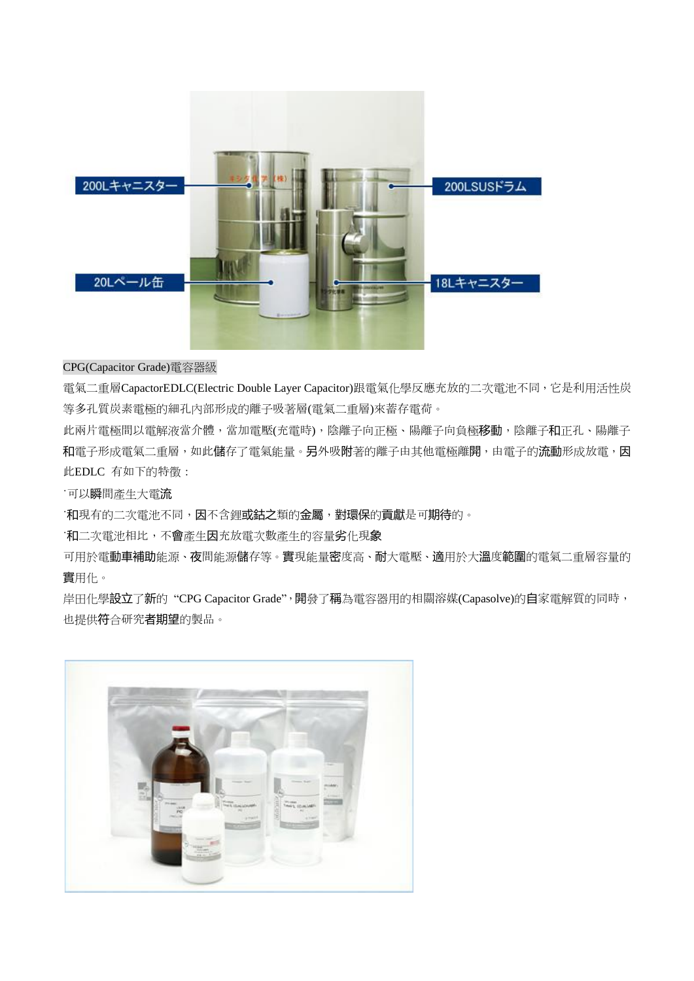

#### CPG(Capacitor Grade)電容器級

電氣二重層CapactorEDLC(Electric Double Layer Capacitor)跟電氣化學反應充放的二次電池不同,它是利用活性炭 等多孔質炭素電極的細孔內部形成的離子吸著層(電氣二重層)來蓄存電荷。

此兩片電極間以電解液當介體,當加電壓(充電時),陰離子向正極、陽離子向負極移動,陰離子和正孔、陽離子 和電子形成電氣二重層,如此儲存了電氣能量。另外吸附著的離子由其他電極離開,由電子的流動形成放電,因 此EDLC 有如下的特徵:

˙可以瞬間產生大電流

·和現有的二次電池不同,因不含鋰**或鈷之**類的**金屬,對環保**的貢獻是可**期待**的。

˙和二次電池相比,不會產生因充放電次數產生的容量劣化現象

可用於電動車補助能源、夜間能源儲存等。實現能量密度高、耐大電壓、適用於大溫度範圍的電氣二重層容量的 實用化。

岸田化學設立了新的"CPG Capacitor Grade",開發了稱為電容器用的相關溶媒(Capasolve)的自家電解質的同時, 也提供符合研究者期望的製品。